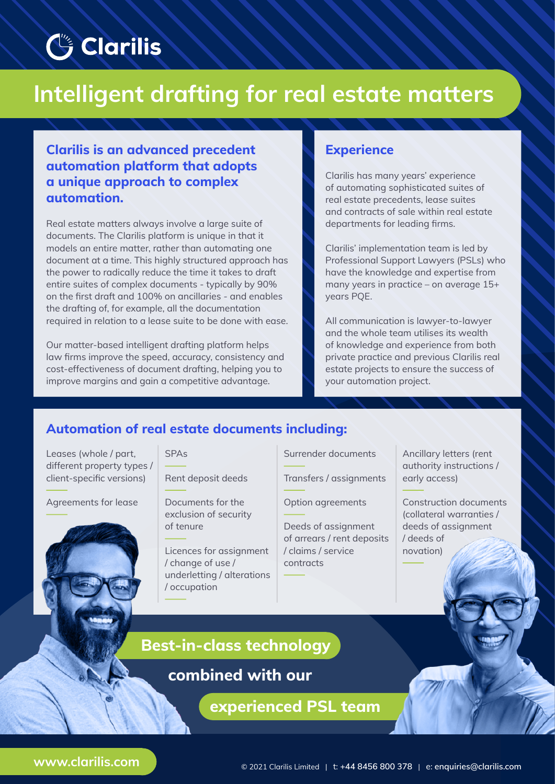## **Clarilis**

# **Intelligent drafting for real estate matters**

**Clarilis is an advanced precedent automation platform that adopts a unique approach to complex automation.**

Real estate matters always involve a large suite of documents. The Clarilis platform is unique in that it models an entire matter, rather than automating one document at a time. This highly structured approach has the power to radically reduce the time it takes to draft entire suites of complex documents - typically by 90% on the first draft and 100% on ancillaries - and enables the drafting of, for example, all the documentation required in relation to a lease suite to be done with ease.

Our matter-based intelligent drafting platform helps law firms improve the speed, accuracy, consistency and cost-effectiveness of document drafting, helping you to improve margins and gain a competitive advantage.

### **Experience**

Clarilis has many years' experience of automating sophisticated suites of real estate precedents, lease suites and contracts of sale within real estate departments for leading firms.

Clarilis' implementation team is led by Professional Support Lawyers (PSLs) who have the knowledge and expertise from many years in practice – on average 15+ years PQE.

All communication is lawyer-to-lawyer and the whole team utilises its wealth of knowledge and experience from both private practice and previous Clarilis real estate projects to ensure the success of your automation project.

### **Automation of real estate documents including:**

Leases (whole / part, different property types / client-specific versions)

Agreements for lease



### SPAs

Rent deposit deeds

Documents for the exclusion of security of tenure

Licences for assignment / change of use / underletting / alterations / occupation

Surrender documents

Transfers / assignments

Option agreements

Deeds of assignment of arrears / rent deposits / claims / service contracts

Ancillary letters (rent authority instructions / early access)

Construction documents (collateral warranties / deeds of assignment / deeds of novation)

### **Best-in-class technology**

**combined with our**

**experienced PSL team**